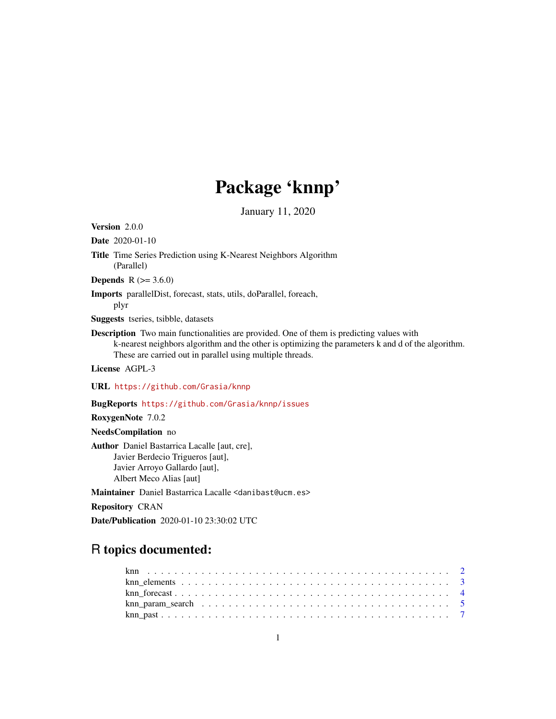## Package 'knnp'

January 11, 2020

Version 2.0.0

Date 2020-01-10

Title Time Series Prediction using K-Nearest Neighbors Algorithm (Parallel)

**Depends** R  $(>= 3.6.0)$ 

Imports parallelDist, forecast, stats, utils, doParallel, foreach, plyr

Suggests tseries, tsibble, datasets

Description Two main functionalities are provided. One of them is predicting values with k-nearest neighbors algorithm and the other is optimizing the parameters k and d of the algorithm. These are carried out in parallel using multiple threads.

License AGPL-3

URL <https://github.com/Grasia/knnp>

BugReports <https://github.com/Grasia/knnp/issues>

RoxygenNote 7.0.2

NeedsCompilation no

Author Daniel Bastarrica Lacalle [aut, cre], Javier Berdecio Trigueros [aut], Javier Arroyo Gallardo [aut], Albert Meco Alias [aut]

Maintainer Daniel Bastarrica Lacalle <danibast@ucm.es>

Repository CRAN

Date/Publication 2020-01-10 23:30:02 UTC

## R topics documented: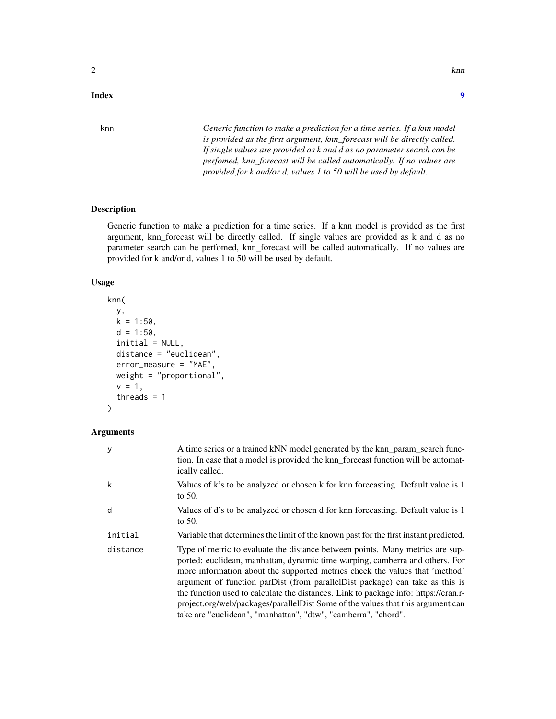#### <span id="page-1-0"></span>**Index** [9](#page-8-0)

knn *Generic function to make a prediction for a time series. If a knn model is provided as the first argument, knn\_forecast will be directly called. If single values are provided as k and d as no parameter search can be perfomed, knn\_forecast will be called automatically. If no values are provided for k and/or d, values 1 to 50 will be used by default.*

## Description

Generic function to make a prediction for a time series. If a knn model is provided as the first argument, knn\_forecast will be directly called. If single values are provided as k and d as no parameter search can be perfomed, knn\_forecast will be called automatically. If no values are provided for k and/or d, values 1 to 50 will be used by default.

#### Usage

```
knn(
  y,
  k = 1:50,
  d = 1:50,
  initial = NULL,
  distance = "euclidean",
  error_measure = "MAE",
  weight = "proportional",
  v = 1,
  threads = 1)
```

| У        | A time series or a trained kNN model generated by the knn param search func-<br>tion. In case that a model is provided the knn_forecast function will be automat-<br>ically called.                                                                                                                                                                                                                                                                                                                                                                                      |
|----------|--------------------------------------------------------------------------------------------------------------------------------------------------------------------------------------------------------------------------------------------------------------------------------------------------------------------------------------------------------------------------------------------------------------------------------------------------------------------------------------------------------------------------------------------------------------------------|
| k        | Values of k's to be analyzed or chosen k for knn forecasting. Default value is 1<br>to $50$ .                                                                                                                                                                                                                                                                                                                                                                                                                                                                            |
| d        | Values of d's to be analyzed or chosen d for knn forecasting. Default value is 1<br>to $50$ .                                                                                                                                                                                                                                                                                                                                                                                                                                                                            |
| initial  | Variable that determines the limit of the known past for the first instant predicted.                                                                                                                                                                                                                                                                                                                                                                                                                                                                                    |
| distance | Type of metric to evaluate the distance between points. Many metrics are sup-<br>ported: euclidean, manhattan, dynamic time warping, camberra and others. For<br>more information about the supported metrics check the values that 'method'<br>argument of function parDist (from parallelDist package) can take as this is<br>the function used to calculate the distances. Link to package info: https://cran.r-<br>project.org/web/packages/parallelDist Some of the values that this argument can<br>take are "euclidean", "manhattan", "dtw", "camberra", "chord". |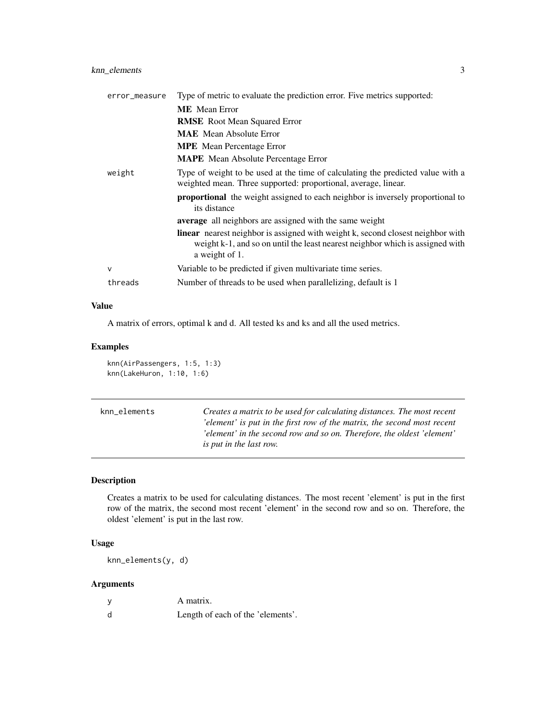## <span id="page-2-0"></span>knn\_elements 3

| error_measure | Type of metric to evaluate the prediction error. Five metrics supported:                                                                                                                  |
|---------------|-------------------------------------------------------------------------------------------------------------------------------------------------------------------------------------------|
|               | <b>ME</b> Mean Error                                                                                                                                                                      |
|               | <b>RMSE</b> Root Mean Squared Error                                                                                                                                                       |
|               | <b>MAE</b> Mean Absolute Error                                                                                                                                                            |
|               | <b>MPE</b> Mean Percentage Error                                                                                                                                                          |
|               | <b>MAPE</b> Mean Absolute Percentage Error                                                                                                                                                |
| weight        | Type of weight to be used at the time of calculating the predicted value with a<br>weighted mean. Three supported: proportional, average, linear.                                         |
|               | <b>proportional</b> the weight assigned to each neighbor is inversely proportional to<br>its distance                                                                                     |
|               | average all neighbors are assigned with the same weight                                                                                                                                   |
|               | <b>linear</b> nearest neighbor is assigned with weight k, second closest neighbor with<br>weight k-1, and so on until the least nearest neighbor which is assigned with<br>a weight of 1. |
| $\mathsf{v}$  | Variable to be predicted if given multivariate time series.                                                                                                                               |
| threads       | Number of threads to be used when parallelizing, default is 1                                                                                                                             |

## Value

A matrix of errors, optimal k and d. All tested ks and ks and all the used metrics.

## Examples

knn(AirPassengers, 1:5, 1:3) knn(LakeHuron, 1:10, 1:6)

| knn elements | Creates a matrix to be used for calculating distances. The most recent  |
|--------------|-------------------------------------------------------------------------|
|              | 'element' is put in the first row of the matrix, the second most recent |
|              | 'element' in the second row and so on. Therefore, the oldest 'element'  |
|              | <i>is put in the last row.</i>                                          |

## Description

Creates a matrix to be used for calculating distances. The most recent 'element' is put in the first row of the matrix, the second most recent 'element' in the second row and so on. Therefore, the oldest 'element' is put in the last row.

## Usage

knn\_elements(y, d)

| y | A matrix.                         |
|---|-----------------------------------|
| d | Length of each of the 'elements'. |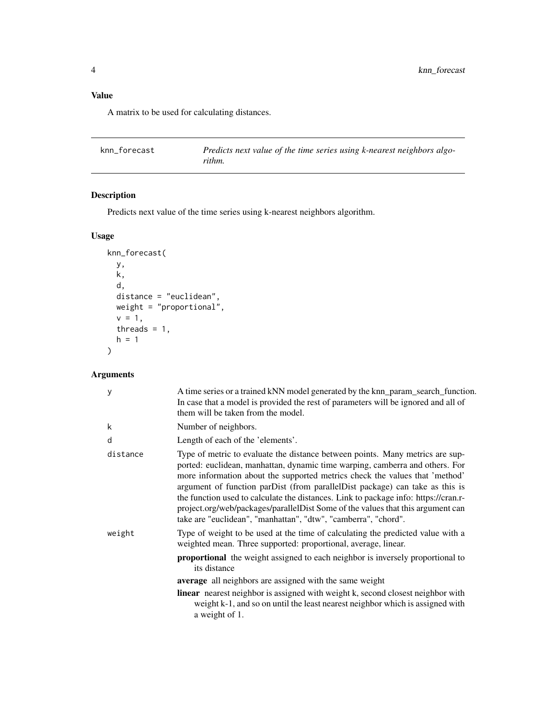## <span id="page-3-0"></span>Value

A matrix to be used for calculating distances.

| knn forecast | Predicts next value of the time series using k-nearest neighbors algo- |
|--------------|------------------------------------------------------------------------|
|              | rithm.                                                                 |

## Description

Predicts next value of the time series using k-nearest neighbors algorithm.

## Usage

```
knn_forecast(
  y,
  k,
  d,
  distance = "euclidean",
 weight = "proportional",
  v = 1,
  threads = 1,
  h = 1\mathcal{L}
```

| У        | A time series or a trained kNN model generated by the knn_param_search_function.<br>In case that a model is provided the rest of parameters will be ignored and all of<br>them will be taken from the model.                                                                                                                                                                                                                                                                                                                                                             |
|----------|--------------------------------------------------------------------------------------------------------------------------------------------------------------------------------------------------------------------------------------------------------------------------------------------------------------------------------------------------------------------------------------------------------------------------------------------------------------------------------------------------------------------------------------------------------------------------|
| k        | Number of neighbors.                                                                                                                                                                                                                                                                                                                                                                                                                                                                                                                                                     |
| d        | Length of each of the 'elements'.                                                                                                                                                                                                                                                                                                                                                                                                                                                                                                                                        |
| distance | Type of metric to evaluate the distance between points. Many metrics are sup-<br>ported: euclidean, manhattan, dynamic time warping, camberra and others. For<br>more information about the supported metrics check the values that 'method'<br>argument of function parDist (from parallelDist package) can take as this is<br>the function used to calculate the distances. Link to package info: https://cran.r-<br>project.org/web/packages/parallelDist Some of the values that this argument can<br>take are "euclidean", "manhattan", "dtw", "camberra", "chord". |
| weight   | Type of weight to be used at the time of calculating the predicted value with a<br>weighted mean. Three supported: proportional, average, linear.                                                                                                                                                                                                                                                                                                                                                                                                                        |
|          | <b>proportional</b> the weight assigned to each neighbor is inversely proportional to<br>its distance                                                                                                                                                                                                                                                                                                                                                                                                                                                                    |
|          | average all neighbors are assigned with the same weight                                                                                                                                                                                                                                                                                                                                                                                                                                                                                                                  |
|          | <b>linear</b> nearest neighbor is assigned with weight k, second closest neighbor with<br>weight k-1, and so on until the least nearest neighbor which is assigned with<br>a weight of 1.                                                                                                                                                                                                                                                                                                                                                                                |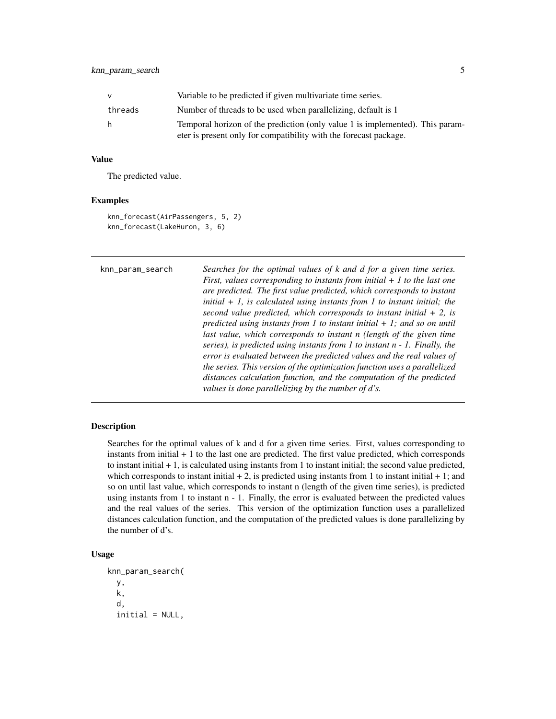<span id="page-4-0"></span>

| v       | Variable to be predicted if given multivariate time series.                                                                                        |
|---------|----------------------------------------------------------------------------------------------------------------------------------------------------|
| threads | Number of threads to be used when parallelizing, default is 1                                                                                      |
| h.      | Temporal horizon of the prediction (only value 1 is implemented). This param-<br>eter is present only for compatibility with the forecast package. |

## Value

The predicted value.

#### Examples

```
knn_forecast(AirPassengers, 5, 2)
knn_forecast(LakeHuron, 3, 6)
```

```
knn_param_search Searches for the optimal values of k and d for a given time series.
                            First, values corresponding to instants from initial + 1 to the last one
                           are predicted. The first value predicted, which corresponds to instant
                            initial + 1, is calculated using instants from 1 to instant initial; the
                            second value predicted, which corresponds to instant initial + 2, is
                           predicted using instants from 1 to instant initial + 1; and so on until
                           last value, which corresponds to instant n (length of the given time
                            series), is predicted using instants from 1 to instant n - 1. Finally, the
                            error is evaluated between the predicted values and the real values of
                            the series. This version of the optimization function uses a parallelized
                            distances calculation function, and the computation of the predicted
                            values is done parallelizing by the number of d's.
```
#### Description

Searches for the optimal values of k and d for a given time series. First, values corresponding to instants from initial  $+1$  to the last one are predicted. The first value predicted, which corresponds to instant initial + 1, is calculated using instants from 1 to instant initial; the second value predicted, which corresponds to instant initial  $+ 2$ , is predicted using instants from 1 to instant initial  $+ 1$ ; and so on until last value, which corresponds to instant n (length of the given time series), is predicted using instants from 1 to instant n - 1. Finally, the error is evaluated between the predicted values and the real values of the series. This version of the optimization function uses a parallelized distances calculation function, and the computation of the predicted values is done parallelizing by the number of d's.

## Usage

```
knn_param_search(
 y,
 k,
  d,
  initial = NULL,
```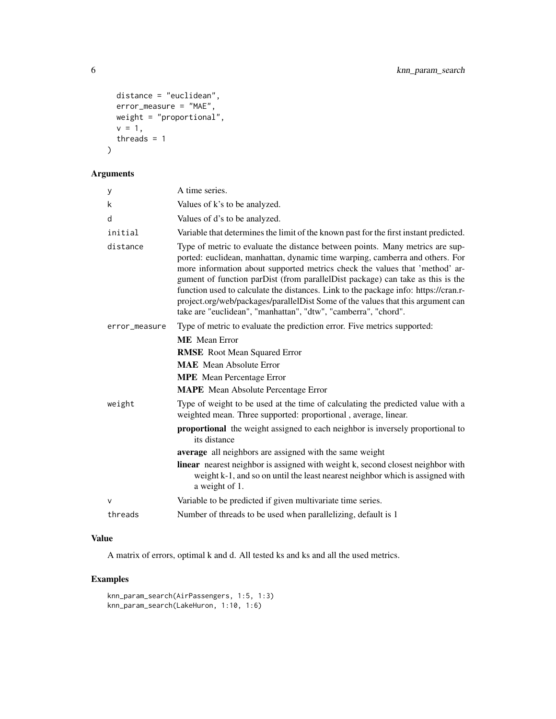```
distance = "euclidean",
 error_measure = "MAE",
 weight = "proportional",
 v = 1,
  threads = 1)
```
## Arguments

| у             | A time series.                                                                                                                                                                                                                                                                                                                                                                                                                                                                                                                                                             |
|---------------|----------------------------------------------------------------------------------------------------------------------------------------------------------------------------------------------------------------------------------------------------------------------------------------------------------------------------------------------------------------------------------------------------------------------------------------------------------------------------------------------------------------------------------------------------------------------------|
| k             | Values of k's to be analyzed.                                                                                                                                                                                                                                                                                                                                                                                                                                                                                                                                              |
| d             | Values of d's to be analyzed.                                                                                                                                                                                                                                                                                                                                                                                                                                                                                                                                              |
| initial       | Variable that determines the limit of the known past for the first instant predicted.                                                                                                                                                                                                                                                                                                                                                                                                                                                                                      |
| distance      | Type of metric to evaluate the distance between points. Many metrics are sup-<br>ported: euclidean, manhattan, dynamic time warping, camberra and others. For<br>more information about supported metrics check the values that 'method' ar-<br>gument of function parDist (from parallelDist package) can take as this is the<br>function used to calculate the distances. Link to the package info: https://cran.r-<br>project.org/web/packages/parallelDist Some of the values that this argument can<br>take are "euclidean", "manhattan", "dtw", "camberra", "chord". |
| error_measure | Type of metric to evaluate the prediction error. Five metrics supported:                                                                                                                                                                                                                                                                                                                                                                                                                                                                                                   |
|               | <b>ME</b> Mean Error                                                                                                                                                                                                                                                                                                                                                                                                                                                                                                                                                       |
|               | <b>RMSE</b> Root Mean Squared Error                                                                                                                                                                                                                                                                                                                                                                                                                                                                                                                                        |
|               | <b>MAE</b> Mean Absolute Error                                                                                                                                                                                                                                                                                                                                                                                                                                                                                                                                             |
|               | <b>MPE</b> Mean Percentage Error                                                                                                                                                                                                                                                                                                                                                                                                                                                                                                                                           |
|               | <b>MAPE</b> Mean Absolute Percentage Error                                                                                                                                                                                                                                                                                                                                                                                                                                                                                                                                 |
| weight        | Type of weight to be used at the time of calculating the predicted value with a<br>weighted mean. Three supported: proportional, average, linear.                                                                                                                                                                                                                                                                                                                                                                                                                          |
|               | <b>proportional</b> the weight assigned to each neighbor is inversely proportional to<br>its distance                                                                                                                                                                                                                                                                                                                                                                                                                                                                      |
|               | average all neighbors are assigned with the same weight                                                                                                                                                                                                                                                                                                                                                                                                                                                                                                                    |
|               | linear nearest neighbor is assigned with weight k, second closest neighbor with<br>weight k-1, and so on until the least nearest neighbor which is assigned with<br>a weight of 1.                                                                                                                                                                                                                                                                                                                                                                                         |
| $\vee$        | Variable to be predicted if given multivariate time series.                                                                                                                                                                                                                                                                                                                                                                                                                                                                                                                |
| threads       | Number of threads to be used when parallelizing, default is 1                                                                                                                                                                                                                                                                                                                                                                                                                                                                                                              |

## Value

A matrix of errors, optimal k and d. All tested ks and ks and all the used metrics.

## Examples

```
knn_param_search(AirPassengers, 1:5, 1:3)
knn_param_search(LakeHuron, 1:10, 1:6)
```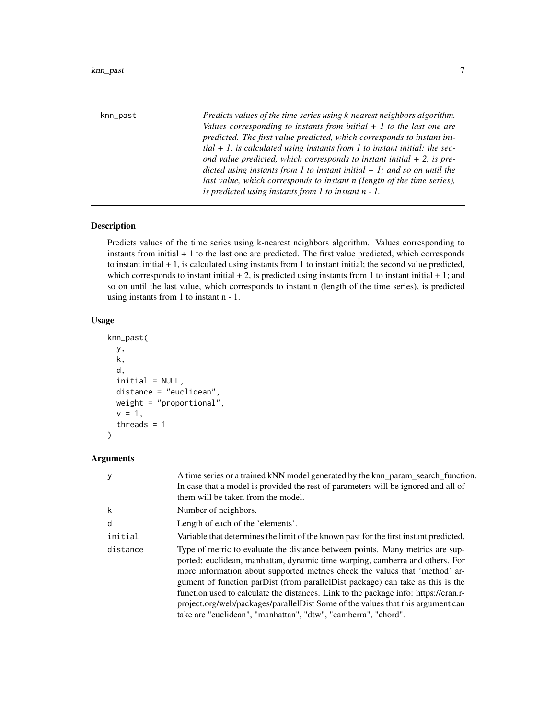<span id="page-6-0"></span>

| knn_past | Predicts values of the time series using k-nearest neighbors algorithm.<br>Values corresponding to instants from initial $+1$ to the last one are<br>predicted. The first value predicted, which corresponds to instant ini-<br>$tial + 1$ , is calculated using instants from 1 to instant initial; the sec-<br>ond value predicted, which corresponds to instant initial $+ 2$ , is pre- |
|----------|--------------------------------------------------------------------------------------------------------------------------------------------------------------------------------------------------------------------------------------------------------------------------------------------------------------------------------------------------------------------------------------------|
|          | dicted using instants from 1 to instant initial $+1$ ; and so on until the<br>last value, which corresponds to instant n (length of the time series),<br>is predicted using instants from $1$ to instant $n - 1$ .                                                                                                                                                                         |

#### Description

Predicts values of the time series using k-nearest neighbors algorithm. Values corresponding to instants from initial  $+1$  to the last one are predicted. The first value predicted, which corresponds to instant initial + 1, is calculated using instants from 1 to instant initial; the second value predicted, which corresponds to instant initial  $+ 2$ , is predicted using instants from 1 to instant initial  $+ 1$ ; and so on until the last value, which corresponds to instant n (length of the time series), is predicted using instants from 1 to instant n - 1.

## Usage

```
knn_past(
  y,
  k,
 d,
  initial = NULL,
  distance = "euclidean",
 weight = "proportional",
  v = 1,
  threads = 1\mathcal{L}
```

| у        | A time series or a trained kNN model generated by the knn_param_search_function.<br>In case that a model is provided the rest of parameters will be ignored and all of<br>them will be taken from the model.                                                                                                                                                                                                                                                                                                                                                                |
|----------|-----------------------------------------------------------------------------------------------------------------------------------------------------------------------------------------------------------------------------------------------------------------------------------------------------------------------------------------------------------------------------------------------------------------------------------------------------------------------------------------------------------------------------------------------------------------------------|
| k        | Number of neighbors.                                                                                                                                                                                                                                                                                                                                                                                                                                                                                                                                                        |
| d        | Length of each of the 'elements'.                                                                                                                                                                                                                                                                                                                                                                                                                                                                                                                                           |
| initial  | Variable that determines the limit of the known past for the first instant predicted.                                                                                                                                                                                                                                                                                                                                                                                                                                                                                       |
| distance | Type of metric to evaluate the distance between points. Many metrics are sup-<br>ported: euclidean, manhattan, dynamic time warping, camberra and others. For<br>more information about supported metrics check the values that 'method' ar-<br>gument of function parDist (from parallel Dist package) can take as this is the<br>function used to calculate the distances. Link to the package info: https://cran.r-<br>project.org/web/packages/parallelDist Some of the values that this argument can<br>take are "euclidean", "manhattan", "dtw", "camberra", "chord". |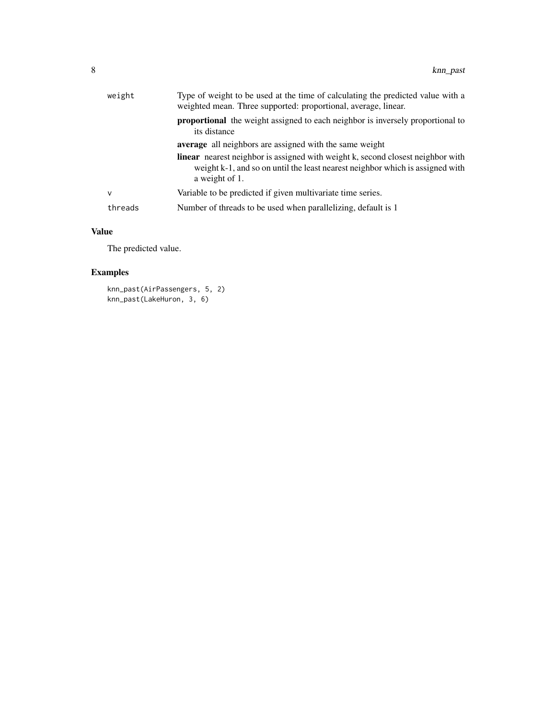| weight  | Type of weight to be used at the time of calculating the predicted value with a<br>weighted mean. Three supported: proportional, average, linear.                                         |
|---------|-------------------------------------------------------------------------------------------------------------------------------------------------------------------------------------------|
|         | <b>proportional</b> the weight assigned to each neighbor is inversely proportional to<br>its distance                                                                                     |
|         | <b>average</b> all neighbors are assigned with the same weight                                                                                                                            |
|         | <b>linear</b> nearest neighbor is assigned with weight k, second closest neighbor with<br>weight k-1, and so on until the least nearest neighbor which is assigned with<br>a weight of 1. |
| v       | Variable to be predicted if given multivariate time series.                                                                                                                               |
| threads | Number of threads to be used when parallelizing, default is 1                                                                                                                             |
|         |                                                                                                                                                                                           |

## Value

The predicted value.

## Examples

```
knn_past(AirPassengers, 5, 2)
knn_past(LakeHuron, 3, 6)
```